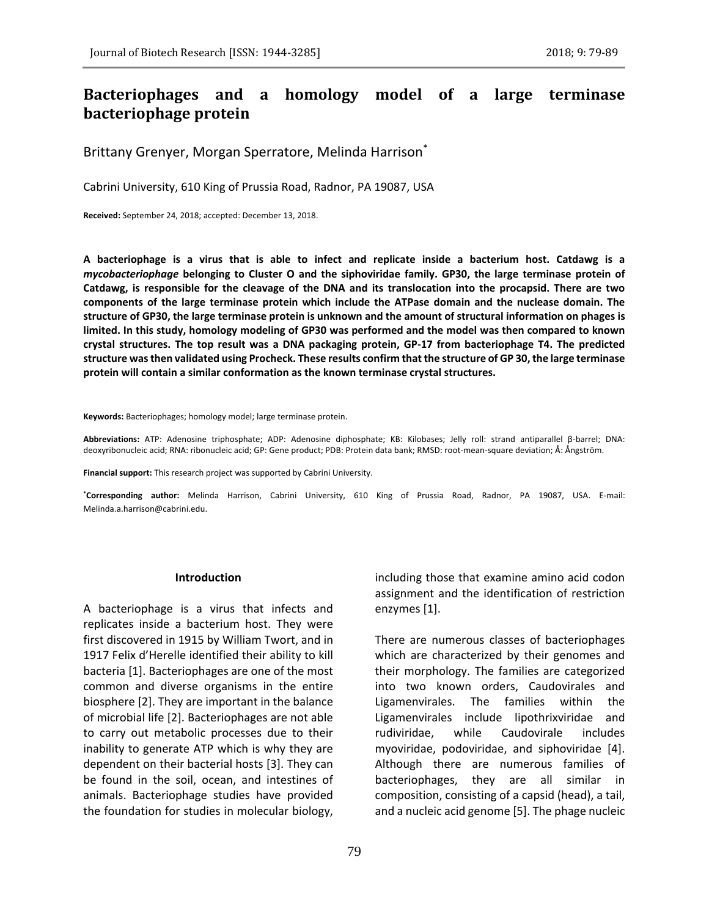# **Bacteriophages and a homology model of a large terminase bacteriophage protein**

Brittany Grenyer, Morgan Sperratore, Melinda Harrison\*

Cabrini University, 610 King of Prussia Road, Radnor, PA 19087, USA

**Received:** September 24, 2018; accepted: December 13, 2018.

**A bacteriophage is a virus that is able to infect and replicate inside a bacterium host. Catdawg is a**  *mycobacteriophage* **belonging to Cluster O and the siphoviridae family. GP30, the large terminase protein of Catdawg, is responsible for the cleavage of the DNA and its translocation into the procapsid. There are two components of the large terminase protein which include the ATPase domain and the nuclease domain. The structure of GP30, the large terminase protein is unknown and the amount of structural information on phages is limited. In this study, homology modeling of GP30 was performed and the model was then compared to known crystal structures. The top result was a DNA packaging protein, GP-17 from bacteriophage T4. The predicted structure was then validated using Procheck. These results confirm that the structure of GP 30, the large terminase protein will contain a similar conformation as the known terminase crystal structures.**

**Keywords:** Bacteriophages; homology model; large terminase protein.

**Abbreviations:** ATP: Adenosine triphosphate; ADP: Adenosine diphosphate; KB: Kilobases; Jelly roll: strand antiparallel β-barrel; DNA: deoxyribonucleic acid; RNA: ribonucleic acid; GP: Gene product; PDB: Protein data bank; RMSD: root-mean-square deviation; Å: Ångström.

**Financial support:** This research project was supported by Cabrini University.

**\*Corresponding author:** Melinda Harrison, Cabrini University, 610 King of Prussia Road, Radnor, PA 19087, USA. E-mail: Melinda.a.harrison@cabrini.edu.

### **Introduction**

A bacteriophage is a virus that infects and replicates inside a bacterium host. They were first discovered in 1915 by William Twort, and in 1917 Felix d'Herelle identified their ability to kill bacteria [1]. Bacteriophages are one of the most common and diverse organisms in the entire biosphere [2]. They are important in the balance of microbial life [2]. Bacteriophages are not able to carry out metabolic processes due to their inability to generate ATP which is why they are dependent on their bacterial hosts [3]. They can be found in the soil, ocean, and intestines of animals. Bacteriophage studies have provided the foundation for studies in molecular biology,

including those that examine amino acid codon assignment and the identification of restriction enzymes [1].

There are numerous classes of bacteriophages which are characterized by their genomes and their morphology. The families are categorized into two known orders, Caudovirales and Ligamenvirales. The families within the Ligamenvirales include lipothrixviridae and rudiviridae, while Caudovirale includes myoviridae, podoviridae, and siphoviridae [4]. Although there are numerous families of bacteriophages, they are all similar in composition, consisting of a capsid (head), a tail, and a nucleic acid genome [5]. The phage nucleic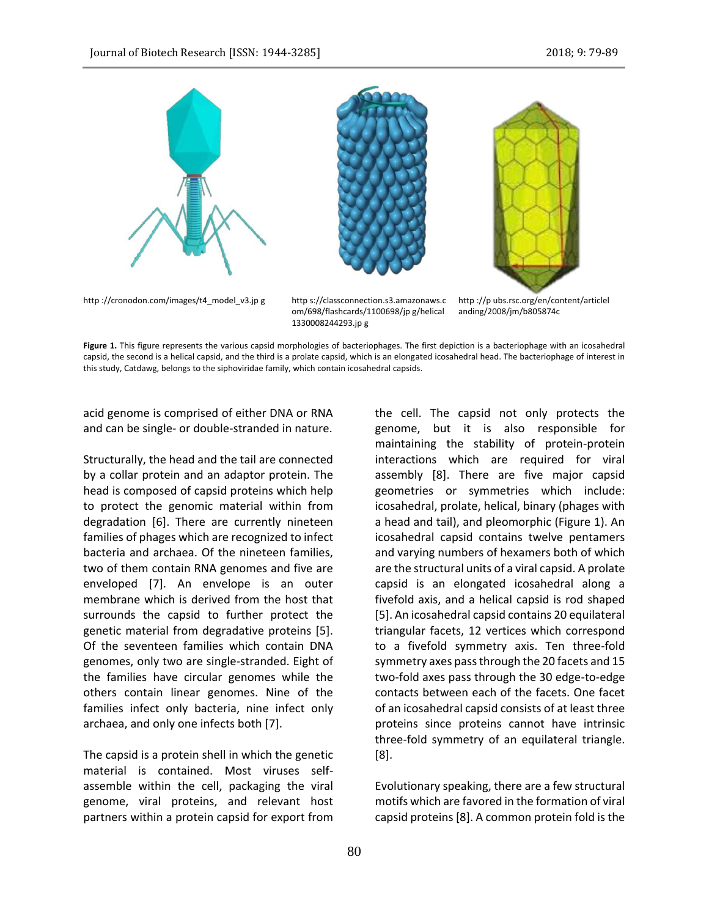

Figure 1. This figure represents the various capsid morphologies of bacteriophages. The first depiction is a bacteriophage with an icosahedral capsid, the second is a helical capsid, and the third is a prolate capsid, which is an elongated icosahedral head. The bacteriophage of interest in this study, Catdawg, belongs to the siphoviridae family, which contain icosahedral capsids.

acid genome is comprised of either DNA or RNA and can be single- or double-stranded in nature.

Structurally, the head and the tail are connected by a collar protein and an adaptor protein. The head is composed of capsid proteins which help to protect the genomic material within from degradation [6]. There are currently nineteen families of phages which are recognized to infect bacteria and archaea. Of the nineteen families, two of them contain RNA genomes and five are enveloped [7]. An envelope is an outer membrane which is derived from the host that surrounds the capsid to further protect the genetic material from degradative proteins [5]. Of the seventeen families which contain DNA genomes, only two are single-stranded. Eight of the families have circular genomes while the others contain linear genomes. Nine of the families infect only bacteria, nine infect only archaea, and only one infects both [7].

The capsid is a protein shell in which the genetic material is contained. Most viruses selfassemble within the cell, packaging the viral genome, viral proteins, and relevant host partners within a protein capsid for export from the cell. The capsid not only protects the genome, but it is also responsible for maintaining the stability of protein-protein interactions which are required for viral assembly [8]. There are five major capsid geometries or symmetries which include: icosahedral, prolate, helical, binary (phages with a head and tail), and pleomorphic (Figure 1). An icosahedral capsid contains twelve pentamers and varying numbers of hexamers both of which are the structural units of a viral capsid. A prolate capsid is an elongated icosahedral along a fivefold axis, and a helical capsid is rod shaped [5]. An icosahedral capsid contains 20 equilateral triangular facets, 12 vertices which correspond to a fivefold symmetry axis. Ten three-fold symmetry axes pass through the 20 facets and 15 two-fold axes pass through the 30 edge-to-edge contacts between each of the facets. One facet of an icosahedral capsid consists of at least three proteins since proteins cannot have intrinsic three-fold symmetry of an equilateral triangle. [8].

Evolutionary speaking, there are a few structural motifs which are favored in the formation of viral capsid proteins [8]. A common protein fold is the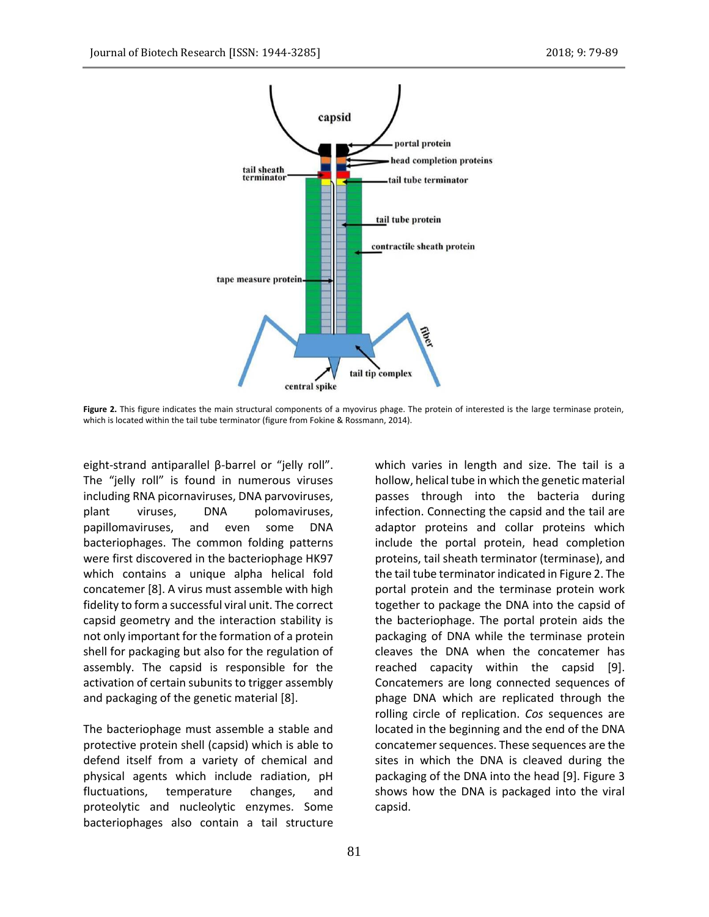

Figure 2. This figure indicates the main structural components of a myovirus phage. The protein of interested is the large terminase protein, which is located within the tail tube terminator (figure from Fokine & Rossmann, 2014).

eight-strand antiparallel β-barrel or "jelly roll". The "jelly roll" is found in numerous viruses including RNA picornaviruses, DNA parvoviruses, plant viruses, DNA polomaviruses, papillomaviruses, and even some DNA bacteriophages. The common folding patterns were first discovered in the bacteriophage HK97 which contains a unique alpha helical fold concatemer [8]. A virus must assemble with high fidelity to form a successful viral unit. The correct capsid geometry and the interaction stability is not only important for the formation of a protein shell for packaging but also for the regulation of assembly. The capsid is responsible for the activation of certain subunits to trigger assembly and packaging of the genetic material [8].

The bacteriophage must assemble a stable and protective protein shell (capsid) which is able to defend itself from a variety of chemical and physical agents which include radiation, pH fluctuations, temperature changes, and proteolytic and nucleolytic enzymes. Some bacteriophages also contain a tail structure

which varies in length and size. The tail is a hollow, helical tube in which the genetic material passes through into the bacteria during infection. Connecting the capsid and the tail are adaptor proteins and collar proteins which include the portal protein, head completion proteins, tail sheath terminator (terminase), and the tail tube terminator indicated in Figure 2. The portal protein and the terminase protein work together to package the DNA into the capsid of the bacteriophage. The portal protein aids the packaging of DNA while the terminase protein cleaves the DNA when the concatemer has reached capacity within the capsid [9]. Concatemers are long connected sequences of phage DNA which are replicated through the rolling circle of replication. *Cos* sequences are located in the beginning and the end of the DNA concatemer sequences. These sequences are the sites in which the DNA is cleaved during the packaging of the DNA into the head [9]. Figure 3 shows how the DNA is packaged into the viral capsid.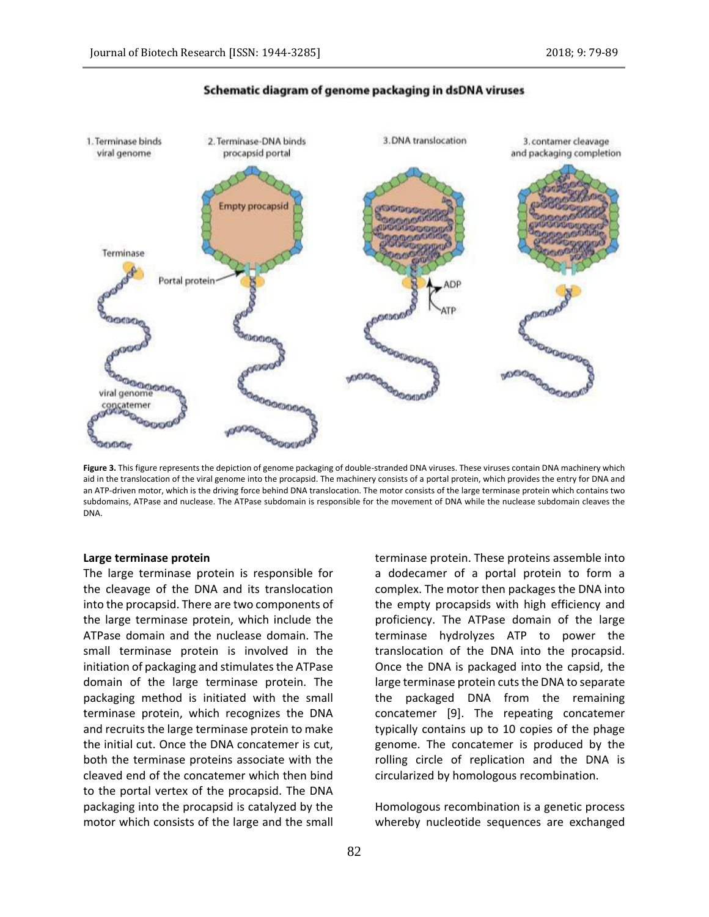

# Schematic diagram of genome packaging in dsDNA viruses

**Figure 3.** This figure represents the depiction of genome packaging of double-stranded DNA viruses. These viruses contain DNA machinery which aid in the translocation of the viral genome into the procapsid. The machinery consists of a portal protein, which provides the entry for DNA and an ATP-driven motor, which is the driving force behind DNA translocation. The motor consists of the large terminase protein which contains two subdomains, ATPase and nuclease. The ATPase subdomain is responsible for the movement of DNA while the nuclease subdomain cleaves the DNA.

#### **Large terminase protein**

The large terminase protein is responsible for the cleavage of the DNA and its translocation into the procapsid. There are two components of the large terminase protein, which include the ATPase domain and the nuclease domain. The small terminase protein is involved in the initiation of packaging and stimulates the ATPase domain of the large terminase protein. The packaging method is initiated with the small terminase protein, which recognizes the DNA and recruits the large terminase protein to make the initial cut. Once the DNA concatemer is cut, both the terminase proteins associate with the cleaved end of the concatemer which then bind to the portal vertex of the procapsid. The DNA packaging into the procapsid is catalyzed by the motor which consists of the large and the small terminase protein. These proteins assemble into a dodecamer of a portal protein to form a complex. The motor then packages the DNA into the empty procapsids with high efficiency and proficiency. The ATPase domain of the large terminase hydrolyzes ATP to power the translocation of the DNA into the procapsid. Once the DNA is packaged into the capsid, the large terminase protein cuts the DNA to separate the packaged DNA from the remaining concatemer [9]. The repeating concatemer typically contains up to 10 copies of the phage genome. The concatemer is produced by the rolling circle of replication and the DNA is circularized by homologous recombination.

Homologous recombination is a genetic process whereby nucleotide sequences are exchanged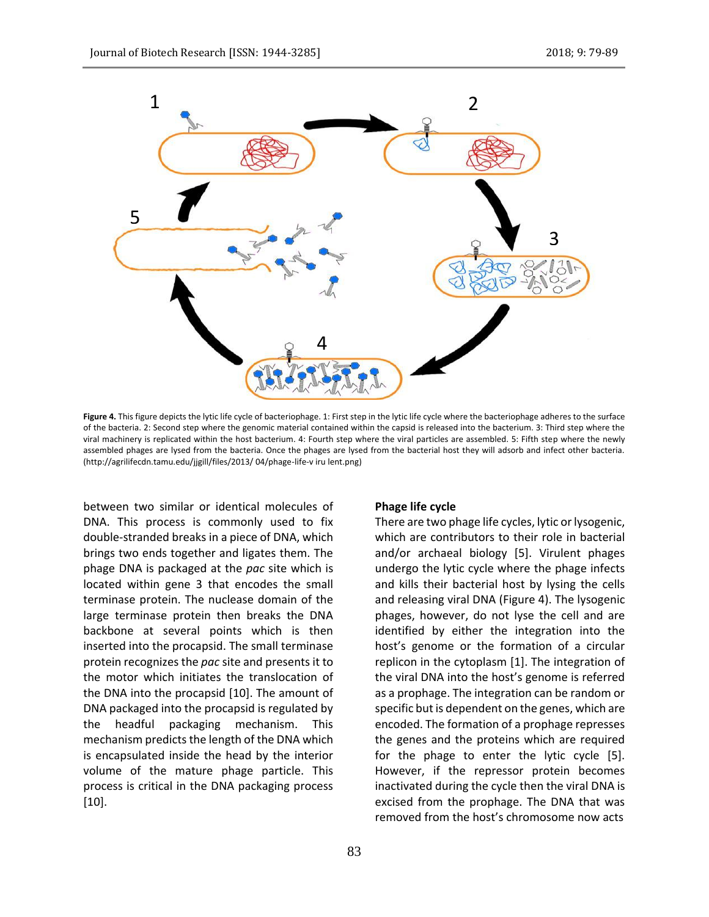

Figure 4. This figure depicts the lytic life cycle of bacteriophage. 1: First step in the lytic life cycle where the bacteriophage adheres to the surface of the bacteria. 2: Second step where the genomic material contained within the capsid is released into the bacterium. 3: Third step where the viral machinery is replicated within the host bacterium. 4: Fourth step where the viral particles are assembled. 5: Fifth step where the newly assembled phages are lysed from the bacteria. Once the phages are lysed from the bacterial host they will adsorb and infect other bacteria. (http://agrilifecdn.tamu.edu/jjgill/files/2013/ 04/phage-life-v iru lent.png)

between two similar or identical molecules of DNA. This process is commonly used to fix double-stranded breaks in a piece of DNA, which brings two ends together and ligates them. The phage DNA is packaged at the *pac* site which is located within gene 3 that encodes the small terminase protein. The nuclease domain of the large terminase protein then breaks the DNA backbone at several points which is then inserted into the procapsid. The small terminase protein recognizes the *pac* site and presents it to the motor which initiates the translocation of the DNA into the procapsid [10]. The amount of DNA packaged into the procapsid is regulated by the headful packaging mechanism. This mechanism predicts the length of the DNA which is encapsulated inside the head by the interior volume of the mature phage particle. This process is critical in the DNA packaging process [10].

#### **Phage life cycle**

There are two phage life cycles, lytic or lysogenic, which are contributors to their role in bacterial and/or archaeal biology [5]. Virulent phages undergo the lytic cycle where the phage infects and kills their bacterial host by lysing the cells and releasing viral DNA (Figure 4). The lysogenic phages, however, do not lyse the cell and are identified by either the integration into the host's genome or the formation of a circular replicon in the cytoplasm [1]. The integration of the viral DNA into the host's genome is referred as a prophage. The integration can be random or specific but is dependent on the genes, which are encoded. The formation of a prophage represses the genes and the proteins which are required for the phage to enter the lytic cycle [5]. However, if the repressor protein becomes inactivated during the cycle then the viral DNA is excised from the prophage. The DNA that was removed from the host's chromosome now acts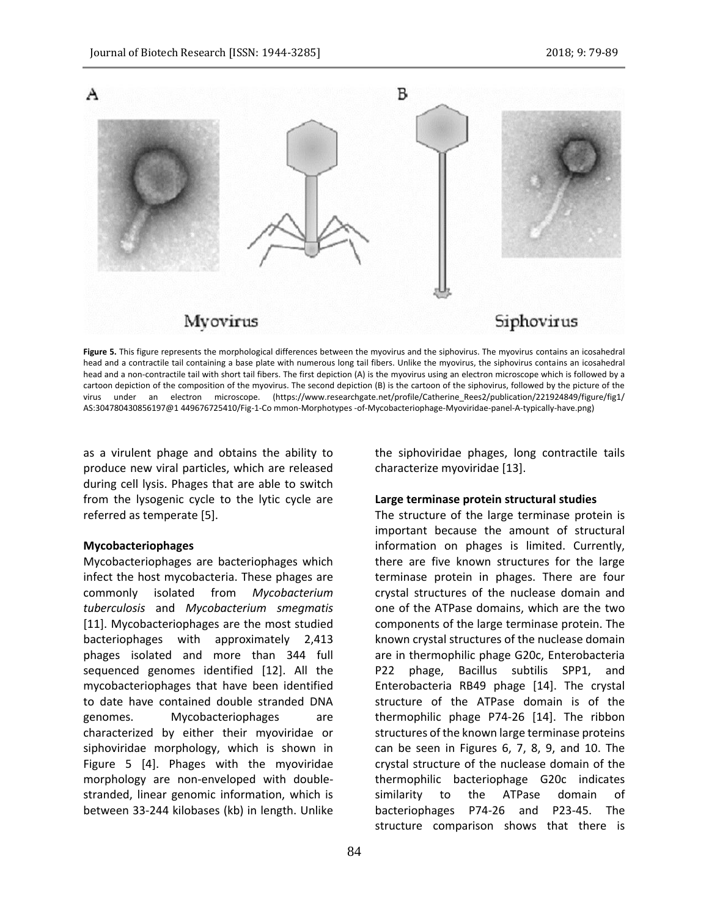

Figure 5. This figure represents the morphological differences between the myovirus and the siphovirus. The myovirus contains an icosahedral head and a contractile tail containing a base plate with numerous long tail fibers. Unlike the myovirus, the siphovirus contains an icosahedral head and a non-contractile tail with short tail fibers. The first depiction (A) is the myovirus using an electron microscope which is followed by a cartoon depiction of the composition of the myovirus. The second depiction (B) is the cartoon of the siphovirus, followed by the picture of the virus under an electron microscope. (https://www.researchgate.net/profile/Catherine\_Rees2/publication/221924849/figure/fig1/ AS:304780430856197@1 449676725410/Fig-1-Co mmon-Morphotypes -of-Mycobacteriophage-Myoviridae-panel-A-typically-have.png)

as a virulent phage and obtains the ability to produce new viral particles, which are released during cell lysis. Phages that are able to switch from the lysogenic cycle to the lytic cycle are referred as temperate [5].

# **Mycobacteriophages**

Mycobacteriophages are bacteriophages which infect the host mycobacteria. These phages are commonly isolated from *Mycobacterium tuberculosis* and *Mycobacterium smegmatis* [11]. Mycobacteriophages are the most studied bacteriophages with approximately 2,413 phages isolated and more than 344 full sequenced genomes identified [12]. All the mycobacteriophages that have been identified to date have contained double stranded DNA genomes. Mycobacteriophages are characterized by either their myoviridae or siphoviridae morphology, which is shown in Figure 5 [4]. Phages with the myoviridae morphology are non-enveloped with doublestranded, linear genomic information, which is between 33-244 kilobases (kb) in length. Unlike

84

the siphoviridae phages, long contractile tails characterize myoviridae [13].

# **Large terminase protein structural studies**

The structure of the large terminase protein is important because the amount of structural information on phages is limited. Currently, there are five known structures for the large terminase protein in phages. There are four crystal structures of the nuclease domain and one of the ATPase domains, which are the two components of the large terminase protein. The known crystal structures of the nuclease domain are in thermophilic phage G20c, Enterobacteria P22 phage, Bacillus subtilis SPP1, and Enterobacteria RB49 phage [14]. The crystal structure of the ATPase domain is of the thermophilic phage P74-26 [14]. The ribbon structures of the known large terminase proteins can be seen in Figures 6, 7, 8, 9, and 10. The crystal structure of the nuclease domain of the thermophilic bacteriophage G20c indicates similarity to the ATPase domain of bacteriophages P74-26 and P23-45. The structure comparison shows that there is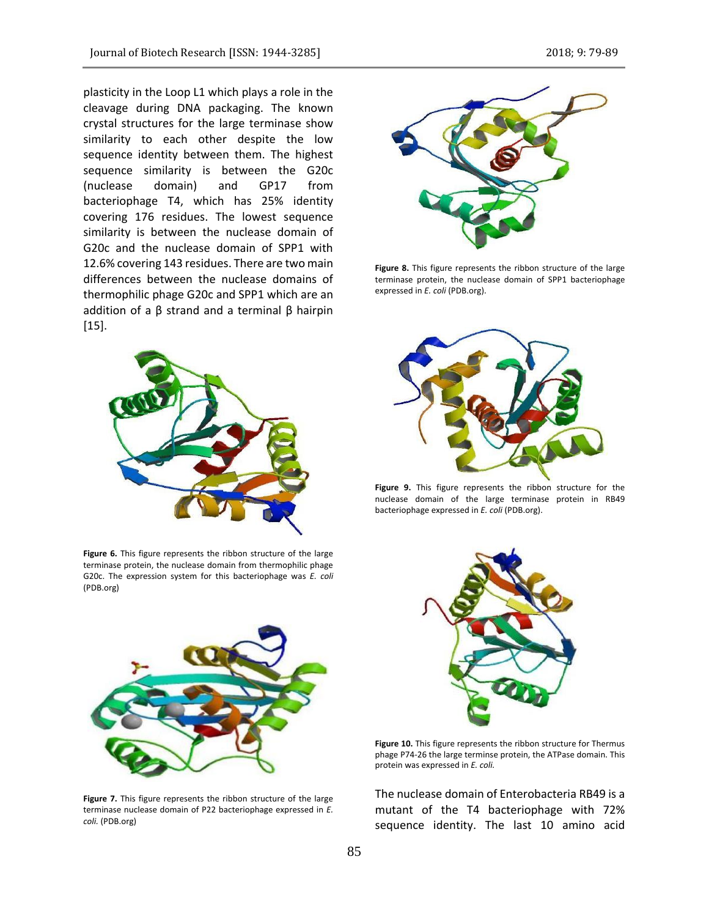plasticity in the Loop L1 which plays a role in the cleavage during DNA packaging. The known crystal structures for the large terminase show similarity to each other despite the low sequence identity between them. The highest sequence similarity is between the G20c (nuclease domain) and GP17 from bacteriophage T4, which has 25% identity covering 176 residues. The lowest sequence similarity is between the nuclease domain of G20c and the nuclease domain of SPP1 with 12.6% covering 143 residues. There are two main differences between the nuclease domains of thermophilic phage G20c and SPP1 which are an addition of a  $β$  strand and a terminal  $β$  hairpin [15].



**Figure 6.** This figure represents the ribbon structure of the large terminase protein, the nuclease domain from thermophilic phage G20c. The expression system for this bacteriophage was *E. coli* (PDB.org)



**Figure 7.** This figure represents the ribbon structure of the large terminase nuclease domain of P22 bacteriophage expressed in *E. coli.* (PDB.org)



**Figure 8.** This figure represents the ribbon structure of the large terminase protein, the nuclease domain of SPP1 bacteriophage expressed in *E. coli* (PDB.org).



**Figure 9.** This figure represents the ribbon structure for the nuclease domain of the large terminase protein in RB49 bacteriophage expressed in *E. coli* (PDB.org).



**Figure 10.** This figure represents the ribbon structure for Thermus phage P74-26 the large terminse protein, the ATPase domain. This protein was expressed in *E. coli.*

The nuclease domain of Enterobacteria RB49 is a mutant of the T4 bacteriophage with 72% sequence identity. The last 10 amino acid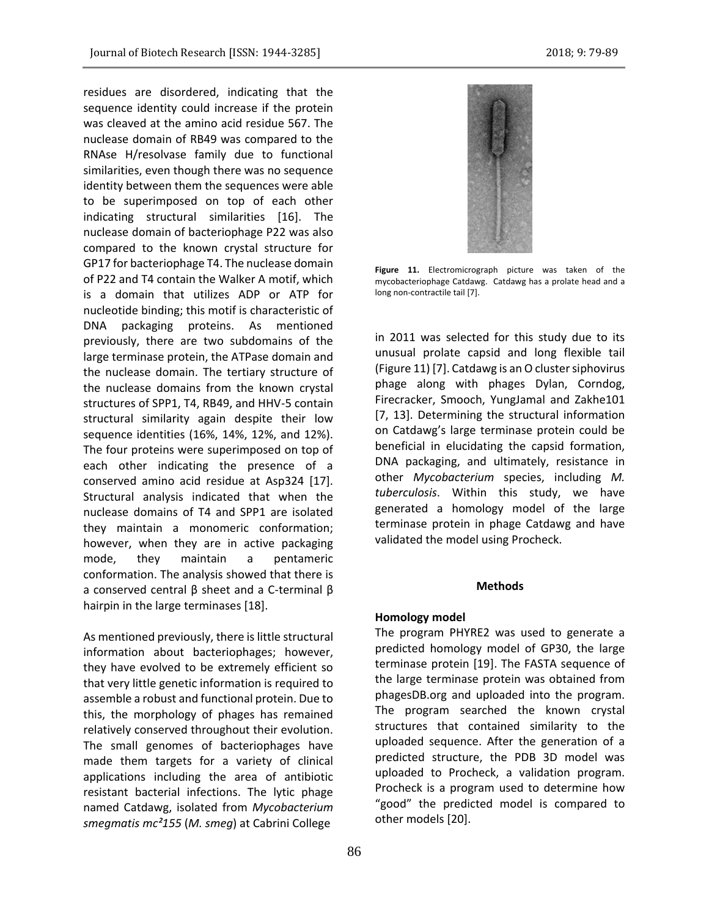residues are disordered, indicating that the sequence identity could increase if the protein was cleaved at the amino acid residue 567. The nuclease domain of RB49 was compared to the RNAse H/resolvase family due to functional similarities, even though there was no sequence identity between them the sequences were able to be superimposed on top of each other indicating structural similarities [16]. The nuclease domain of bacteriophage P22 was also compared to the known crystal structure for GP17 for bacteriophage T4. The nuclease domain of P22 and T4 contain the Walker A motif, which is a domain that utilizes ADP or ATP for nucleotide binding; this motif is characteristic of DNA packaging proteins. As mentioned previously, there are two subdomains of the large terminase protein, the ATPase domain and the nuclease domain. The tertiary structure of the nuclease domains from the known crystal structures of SPP1, T4, RB49, and HHV-5 contain structural similarity again despite their low sequence identities (16%, 14%, 12%, and 12%). The four proteins were superimposed on top of each other indicating the presence of a conserved amino acid residue at Asp324 [17]. Structural analysis indicated that when the nuclease domains of T4 and SPP1 are isolated they maintain a monomeric conformation; however, when they are in active packaging mode, they maintain a pentameric conformation. The analysis showed that there is a conserved central β sheet and a C-terminal β hairpin in the large terminases [18].

As mentioned previously, there is little structural information about bacteriophages; however, they have evolved to be extremely efficient so that very little genetic information is required to assemble a robust and functional protein. Due to this, the morphology of phages has remained relatively conserved throughout their evolution. The small genomes of bacteriophages have made them targets for a variety of clinical applications including the area of antibiotic resistant bacterial infections. The lytic phage named Catdawg, isolated from *Mycobacterium smegmatis mc²155* (*M. smeg*) at Cabrini College



**Figure 11.** Electromicrograph picture was taken of the mycobacteriophage Catdawg. Catdawg has a prolate head and a long non-contractile tail [7].

in 2011 was selected for this study due to its unusual prolate capsid and long flexible tail (Figure 11) [7]. Catdawg is an O cluster siphovirus phage along with phages Dylan, Corndog, Firecracker, Smooch, YungJamal and Zakhe101 [7, 13]. Determining the structural information on Catdawg's large terminase protein could be beneficial in elucidating the capsid formation, DNA packaging, and ultimately, resistance in other *Mycobacterium* species, including *M. tuberculosis*. Within this study, we have generated a homology model of the large terminase protein in phage Catdawg and have validated the model using Procheck.

# **Methods**

#### **Homology model**

The program PHYRE2 was used to generate a predicted homology model of GP30, the large terminase protein [19]. The FASTA sequence of the large terminase protein was obtained from phagesDB.org and uploaded into the program. The program searched the known crystal structures that contained similarity to the uploaded sequence. After the generation of a predicted structure, the PDB 3D model was uploaded to Procheck, a validation program. Procheck is a program used to determine how "good" the predicted model is compared to other models [20].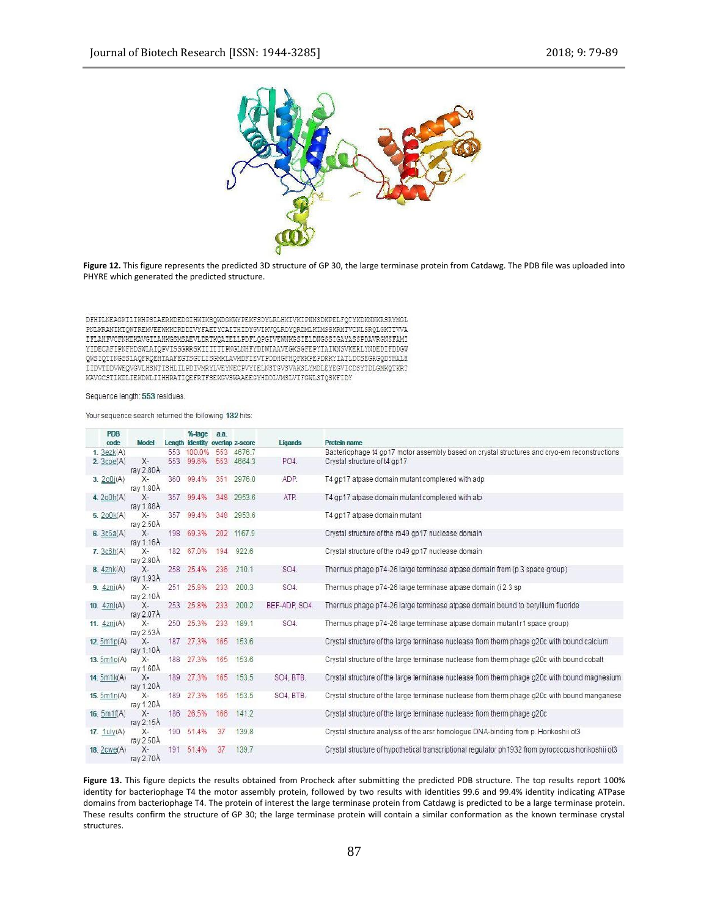

**Figure 12.** This figure represents the predicted 3D structure of GP 30, the large terminase protein from Catdawg. The PDB file was uploaded into PHYRE which generated the predicted structure.

DFHPLNEAGKILIKHPSLAERKDEDGIHWIKSQWDGKWYPEKFSDYLRLHKIVKIPNNSDKPELFQTYKDKNNKRSRYMGL PNLKRANIKTQWTREMVEEWKKCRDDIVYFAETYCAITHIDYGVIKVQLRDYQRDMLKIMSSKRMTVCNLSRQLGKTTVVA IFLAHFVCFNKDKAVGILAHKGSMSAEVLDRTKQAIELLPDFLQPGIVEWNKGSIELDNGSSIGAYASSPDAVRGNSFAMI YIDECAFIPNFHDSWLAIQPVISSGRRSKIIITTTPNGLNHFYDIWTAAVEGKSGFEPYTAIWNSVKERLYNDEDIFDDGW QWSIQTINGSSLAQFRQEHTAAFEGTSGTLISGMKLAVMDFIEVTPDDHGFHQFKKPEPDRKYIATLDCSEGRGQDYHALH IIDVTDDVWEQVGVLHSNTISHLILPDIVMRYLVEYNECPVYIELNSTGVSVAKSLYMDLEYEGVICDSYTDLGMKQTKRT KAVGCSTLKDLIEKDKLIIHHRATIQEFRTFSEKGVSWAAEEGYHDDLVMSLVIFGWLSTQSKFIDY

#### Sequence length: 553 residues.

#### Your sequence search returned the following 132 hits:

| <b>PDB</b><br>code    | <b>Model</b>       |     | %-tage<br>Length identity overlap z-score | a.a. |        | Ligands       | Protein name                                                                                      |
|-----------------------|--------------------|-----|-------------------------------------------|------|--------|---------------|---------------------------------------------------------------------------------------------------|
| 1.3ezk(A)             |                    | 553 | 100.0%                                    | 553  | 4676.7 |               | Bacteriophage t4 gp17 motor assembly based on crystal structures and cryo-em reconstructions      |
| $2.3$ cpe $(A)$       | $X-$<br>ray 2.80A  | 553 | 99.6%                                     | 553  | 4664.3 | PO4.          | Crystal structure of t4 gp17                                                                      |
| 3. $200j(A)$          | $X-$<br>ray 1.80A  | 360 | 99.4%                                     | 351  | 2976.0 | ADP.          | T4 gp17 atpase domain mutant complexed with adp                                                   |
| 4. $200h(A)$          | $X-$<br>ray 1.88Å  | 357 | 99.4%                                     | 348  | 2953.6 | ATP.          | T4 gp17 atpase domain mutant complexed with atp                                                   |
| 5.200k(A)             | $X-$<br>ray 2.50A  | 357 | 99.4%                                     | 348  | 2953.6 |               | T4 gp17 atpase domain mutant                                                                      |
| 6. $3c6a(A)$          | $X -$<br>ray 1.16A |     | 198 69.3%                                 | 202  | 1167.9 |               | Crystal structure of the rb49 gp17 nuclease domain                                                |
| 7.3c6h(A)             | $X-$<br>ray 2.80A  |     | 182 67.0%                                 | 194  | 922.6  |               | Crystal structure of the rb49 gp17 nuclease domain                                                |
| 8.42nk(A)             | $X-$<br>ray 1.93A  |     | 258 25.4%                                 | 236  | 210.1  | SO4.          | Thermus phage p74-26 large terminase atpase domain from (p 3 space group)                         |
| $9.4\text{Zni}(A)$    | $X-$<br>ray 2.10Å  | 251 | 25.8%                                     | 233  | 200.3  | SO4.          | Thermus phage p74-26 large terminase atpase domain (i 2 3 sp                                      |
| 10. $4\pi i(A)$       | $X-$<br>ray 2.07Å  |     | 253 25.8%                                 | 233  | 200.2  | BEF-ADP. SO4. | Thermus phage p74-26 large terminase atpase domain bound to beryllium fluoride                    |
| 11. $42nI(A)$         | $X-$<br>ray 2.53Å  | 250 | 25.3%                                     | 233  | 189.1  | SO4.          | Thermus phage p74-26 large terminase atpase domain mutant r1 space group)                         |
| 12. $5m1p(A)$         | $X-$<br>ray 1.10A  | 187 | 27.3%                                     | 165  | 153.6  |               | Crystal structure of the large terminase nuclease from therm phage g20c with bound calcium        |
| 13. $5m1o(A)$         | $X-$<br>ray 1.60A  | 188 | 27.3%                                     | 165  | 153.6  |               | Crystal structure of the large terminase nuclease from therm phage g20c with bound cobalt         |
| 14. $5m1k(A)$         | $X-$<br>ray 1.20A  | 189 | 27.3%                                     | 165  | 153.5  | SO4, BTB.     | Crystal structure of the large terminase nuclease from therm phage g20c with bound magnesium      |
| 15. $5m1n(A)$         | $X-$<br>ray 1.20A  | 189 | 27.3%                                     | 165  | 153.5  | SO4, BTB.     | Crystal structure of the large terminase nuclease from therm phage g20c with bound manganese      |
| 16. 5m1f(A)           | $X-$<br>ray 2.15A  | 186 | 26.5%                                     | 166  | 141.2  |               | Crystal structure of the large terminase nuclease from therm phage g20c                           |
| 17. $1 \text{uly}(A)$ | $X-$<br>ray 2.50A  |     | 190 51.4%                                 | 37   | 139.8  |               | Crystal structure analysis of the arsr homologue DNA-binding from p. Horikoshii ot3               |
| 18. $2cwe(A)$         | X-<br>ray $2.70A$  | 191 | 51.4%                                     | 37   | 139.7  |               | Crystal structure of hypothetical transcriptional regulator ph1932 from pyrococcus horikoshii ot3 |

Figure 13. This figure depicts the results obtained from Procheck after submitting the predicted PDB structure. The top results report 100% identity for bacteriophage T4 the motor assembly protein, followed by two results with identities 99.6 and 99.4% identity indicating ATPase domains from bacteriophage T4. The protein of interest the large terminase protein from Catdawg is predicted to be a large terminase protein. These results confirm the structure of GP 30; the large terminase protein will contain a similar conformation as the known terminase crystal structures.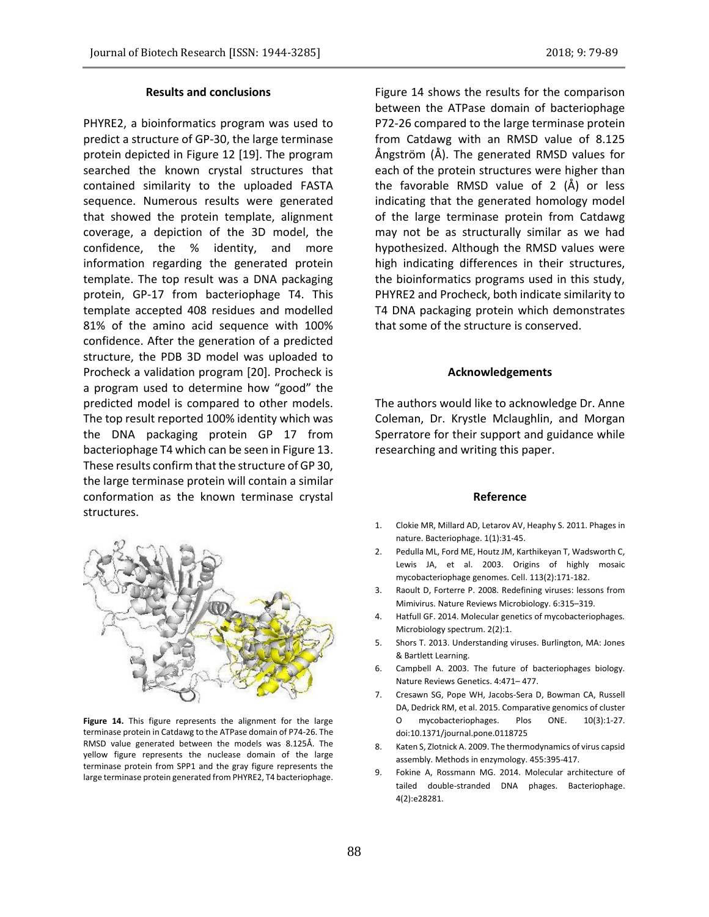# **Results and conclusions**

PHYRE2, a bioinformatics program was used to predict a structure of GP-30, the large terminase protein depicted in Figure 12 [19]. The program searched the known crystal structures that contained similarity to the uploaded FASTA sequence. Numerous results were generated that showed the protein template, alignment coverage, a depiction of the 3D model, the confidence, the % identity, and more information regarding the generated protein template. The top result was a DNA packaging protein, GP-17 from bacteriophage T4. This template accepted 408 residues and modelled 81% of the amino acid sequence with 100% confidence. After the generation of a predicted structure, the PDB 3D model was uploaded to Procheck a validation program [20]. Procheck is a program used to determine how "good" the predicted model is compared to other models. The top result reported 100% identity which was the DNA packaging protein GP 17 from bacteriophage T4 which can be seen in Figure 13. These results confirm that the structure of GP 30, the large terminase protein will contain a similar conformation as the known terminase crystal structures.

**Figure 14.** This figure represents the alignment for the large terminase protein in Catdawg to the ATPase domain of P74-26. The RMSD value generated between the models was 8.125Å. The yellow figure represents the nuclease domain of the large terminase protein from SPP1 and the gray figure represents the large terminase protein generated from PHYRE2, T4 bacteriophage.

Figure 14 shows the results for the comparison between the ATPase domain of bacteriophage P72-26 compared to the large terminase protein from Catdawg with an RMSD value of 8.125 Ångström (Å). The generated RMSD values for each of the protein structures were higher than the favorable RMSD value of 2 (Å) or less indicating that the generated homology model of the large terminase protein from Catdawg may not be as structurally similar as we had hypothesized. Although the RMSD values were high indicating differences in their structures, the bioinformatics programs used in this study, PHYRE2 and Procheck, both indicate similarity to T4 DNA packaging protein which demonstrates that some of the structure is conserved.

#### **Acknowledgements**

The authors would like to acknowledge Dr. Anne Coleman, Dr. Krystle Mclaughlin, and Morgan Sperratore for their support and guidance while researching and writing this paper.

### **Reference**

- 1. Clokie MR, Millard AD, Letarov AV, Heaphy S. 2011. Phages in nature. Bacteriophage. 1(1):31-45.
- 2. Pedulla ML, Ford ME, Houtz JM, Karthikeyan T, Wadsworth C, Lewis JA, et al. 2003. Origins of highly mosaic mycobacteriophage genomes. Cell. 113(2):171-182.
- 3. Raoult D, Forterre P. 2008. Redefining viruses: lessons from Mimivirus. Nature Reviews Microbiology. 6:315–319.
- 4. Hatfull GF. 2014. Molecular genetics of mycobacteriophages. Microbiology spectrum. 2(2):1.
- 5. Shors T. 2013. Understanding viruses. Burlington, MA: Jones & Bartlett Learning.
- 6. Campbell A. 2003. The future of bacteriophages biology. Nature Reviews Genetics. 4:471– 477.
- 7. Cresawn SG, Pope WH, Jacobs-Sera D, Bowman CA, Russell DA, Dedrick RM, et al. 2015. Comparative genomics of cluster O mycobacteriophages. Plos ONE. 10(3):1-27. doi:10.1371/journal.pone.0118725
- 8. Katen S, Zlotnick A. 2009. The thermodynamics of virus capsid assembly. Methods in enzymology. 455:395-417.
- 9. Fokine A, Rossmann MG. 2014. Molecular architecture of tailed double-stranded DNA phages. Bacteriophage. 4(2):e28281.